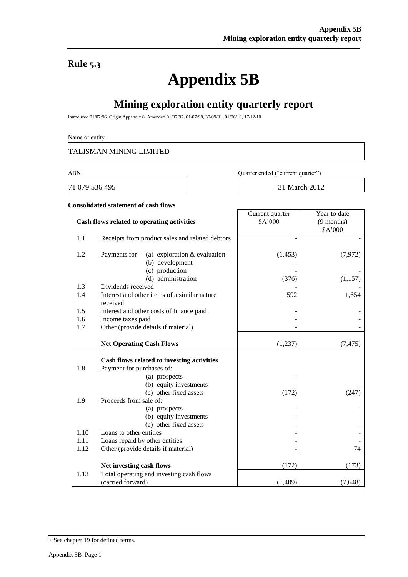### **Rule 5.3**

# **Appendix 5B**

## **Mining exploration entity quarterly report**

Introduced 01/07/96 Origin Appendix 8 Amended 01/07/97, 01/07/98, 30/09/01, 01/06/10, 17/12/10

Name of entity

TALISMAN MINING LIMITED

71 079 536 495 31 March 2012

ABN Quarter ended ("current quarter")

Current quarter

Year to date

#### **Consolidated statement of cash flows**

|      | Cash flows related to operating activities                        | \$A'000  | $(9$ months)<br>\$A'000 |
|------|-------------------------------------------------------------------|----------|-------------------------|
| 1.1  | Receipts from product sales and related debtors                   |          |                         |
| 1.2  | Payments for<br>(a) exploration $&$ evaluation<br>(b) development | (1, 453) | (7, 972)                |
|      | (c) production                                                    |          |                         |
|      | (d) administration                                                | (376)    | (1, 157)                |
| 1.3  | Dividends received                                                |          |                         |
| 1.4  | Interest and other items of a similar nature<br>received          | 592      | 1,654                   |
| 1.5  | Interest and other costs of finance paid                          |          |                         |
| 1.6  | Income taxes paid                                                 |          |                         |
| 1.7  | Other (provide details if material)                               |          |                         |
|      | <b>Net Operating Cash Flows</b>                                   | (1,237)  | (7, 475)                |
|      |                                                                   |          |                         |
|      | Cash flows related to investing activities                        |          |                         |
| 1.8  | Payment for purchases of:                                         |          |                         |
|      | (a) prospects                                                     |          |                         |
|      | (b) equity investments                                            |          |                         |
|      | (c) other fixed assets                                            | (172)    | (247)                   |
| 1.9  | Proceeds from sale of:                                            |          |                         |
|      | (a) prospects                                                     |          |                         |
|      | (b) equity investments                                            |          |                         |
|      | (c) other fixed assets                                            |          |                         |
| 1.10 | Loans to other entities                                           |          |                         |
| 1.11 | Loans repaid by other entities                                    |          |                         |
| 1.12 | Other (provide details if material)                               |          | 74                      |
|      | Net investing cash flows                                          | (172)    | (173)                   |
| 1.13 | Total operating and investing cash flows                          |          |                         |
|      | (carried forward)                                                 | (1,409)  | (7, 648)                |

<sup>+</sup> See chapter 19 for defined terms.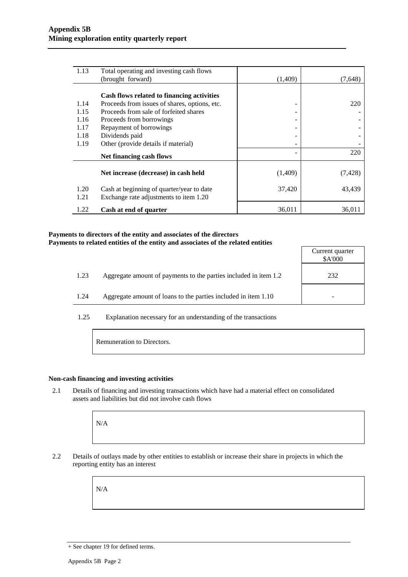| 1.13         | Total operating and investing cash flows                                            |         |          |
|--------------|-------------------------------------------------------------------------------------|---------|----------|
|              | (brought forward)                                                                   | (1,409) | (7,648)  |
|              |                                                                                     |         |          |
|              | Cash flows related to financing activities                                          |         |          |
| 1.14         | Proceeds from issues of shares, options, etc.                                       |         | 220      |
| 1.15         | Proceeds from sale of forfeited shares                                              |         |          |
| 1.16         | Proceeds from borrowings                                                            |         |          |
| 1.17         | Repayment of borrowings                                                             |         |          |
| 1.18         | Dividends paid                                                                      |         |          |
| 1.19         | Other (provide details if material)                                                 |         |          |
|              | Net financing cash flows                                                            |         | 220      |
|              | Net increase (decrease) in cash held                                                | (1,409) | (7, 428) |
| 1.20<br>1.21 | Cash at beginning of quarter/year to date<br>Exchange rate adjustments to item 1.20 | 37,420  | 43,439   |
| 1.22         | Cash at end of quarter                                                              | 36,011  | 36,011   |

#### **Payments to directors of the entity and associates of the directors Payments to related entities of the entity and associates of the related entities**

|      |                                                                  | Current quarter<br>\$A'000 |
|------|------------------------------------------------------------------|----------------------------|
| 1.23 | Aggregate amount of payments to the parties included in item 1.2 | 232                        |
| 1.24 | Aggregate amount of loans to the parties included in item 1.10   |                            |

1.25 Explanation necessary for an understanding of the transactions

Remuneration to Directors.

#### **Non-cash financing and investing activities**

2.1 Details of financing and investing transactions which have had a material effect on consolidated assets and liabilities but did not involve cash flows

N/A

2.2 Details of outlays made by other entities to establish or increase their share in projects in which the reporting entity has an interest

N/A

<sup>+</sup> See chapter 19 for defined terms.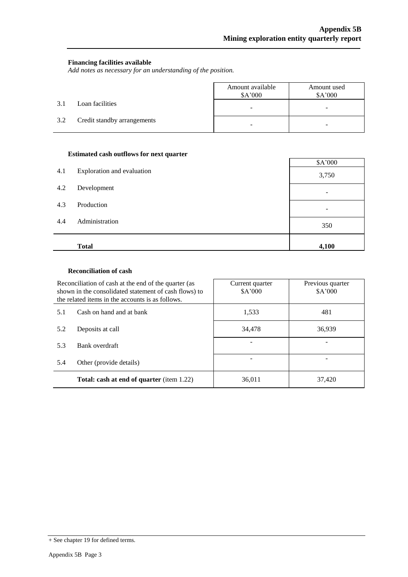$\overline{\phantom{a}}$ 

#### **Financing facilities available**

*Add notes as necessary for an understanding of the position.*

|     |                             | Amount available<br>\$A'000 | Amount used<br>\$A'000 |
|-----|-----------------------------|-----------------------------|------------------------|
| 3.1 | Loan facilities             | ۰                           | -                      |
| 3.2 | Credit standby arrangements | $\overline{\phantom{0}}$    | -                      |

#### **Estimated cash outflows for next quarter**

|     | л.                         | \$A'000                  |
|-----|----------------------------|--------------------------|
| 4.1 | Exploration and evaluation | 3,750                    |
| 4.2 | Development                | $\overline{\phantom{a}}$ |
| 4.3 | Production                 | ٠                        |
| 4.4 | Administration             | 350                      |
|     | <b>Total</b>               | 4,100                    |

#### **Reconciliation of cash**

|     | Reconciliation of cash at the end of the quarter (as<br>shown in the consolidated statement of cash flows) to<br>the related items in the accounts is as follows. | Current quarter<br>\$A'000 | Previous quarter<br>\$A'000 |
|-----|-------------------------------------------------------------------------------------------------------------------------------------------------------------------|----------------------------|-----------------------------|
| 5.1 | Cash on hand and at bank                                                                                                                                          | 1,533                      | 481                         |
| 5.2 | Deposits at call                                                                                                                                                  | 34,478                     | 36,939                      |
| 5.3 | Bank overdraft                                                                                                                                                    |                            |                             |
| 5.4 | Other (provide details)                                                                                                                                           |                            |                             |
|     | <b>Total: cash at end of quarter</b> (item 1.22)                                                                                                                  | 36,011                     | 37,420                      |

<sup>+</sup> See chapter 19 for defined terms.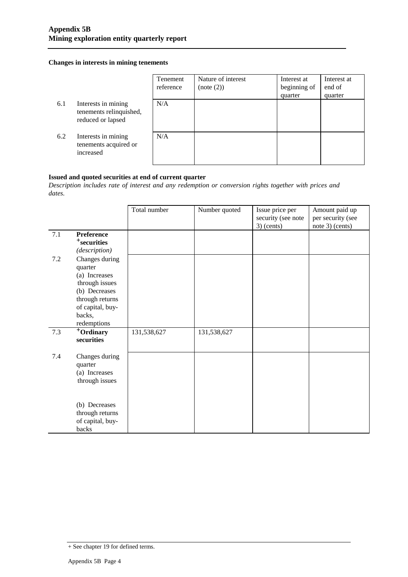#### **Changes in interests in mining tenements**

|     |                                                                     | Tenement<br>reference | Nature of interest<br>(note (2)) | Interest at<br>beginning of<br>quarter | Interest at<br>end of<br>quarter |
|-----|---------------------------------------------------------------------|-----------------------|----------------------------------|----------------------------------------|----------------------------------|
| 6.1 | Interests in mining<br>tenements relinquished,<br>reduced or lapsed | N/A                   |                                  |                                        |                                  |
| 6.2 | Interests in mining<br>tenements acquired or<br>increased           | N/A                   |                                  |                                        |                                  |

#### **Issued and quoted securities at end of current quarter**

*Description includes rate of interest and any redemption or conversion rights together with prices and dates.*

|     |                                                                                                                                               | Total number | Number quoted | Issue price per<br>security (see note<br>$3)$ (cents) | Amount paid up<br>per security (see<br>note 3) (cents) |
|-----|-----------------------------------------------------------------------------------------------------------------------------------------------|--------------|---------------|-------------------------------------------------------|--------------------------------------------------------|
| 7.1 | Preference<br><sup>+</sup> securities<br>(description)                                                                                        |              |               |                                                       |                                                        |
| 7.2 | Changes during<br>quarter<br>(a) Increases<br>through issues<br>(b) Decreases<br>through returns<br>of capital, buy-<br>backs,<br>redemptions |              |               |                                                       |                                                        |
| 7.3 | +Ordinary<br>securities                                                                                                                       | 131,538,627  | 131,538,627   |                                                       |                                                        |
| 7.4 | Changes during<br>quarter<br>(a) Increases<br>through issues                                                                                  |              |               |                                                       |                                                        |
|     | (b) Decreases<br>through returns<br>of capital, buy-<br>backs                                                                                 |              |               |                                                       |                                                        |

<sup>+</sup> See chapter 19 for defined terms.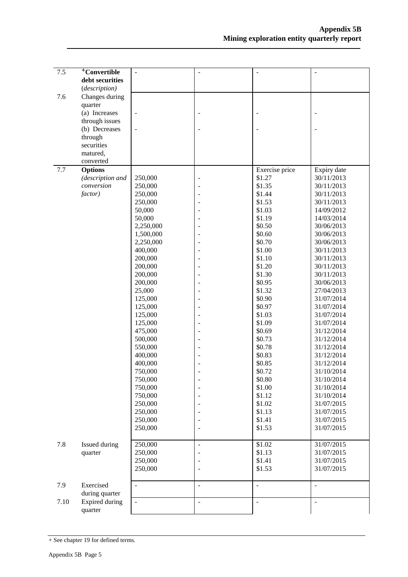| 7.5  | <sup>+</sup> Convertible | $\overline{a}$ | $\ddot{\phantom{1}}$ | $\overline{a}$ | $\bar{\phantom{a}}$ |
|------|--------------------------|----------------|----------------------|----------------|---------------------|
|      | debt securities          |                |                      |                |                     |
|      | (description)            |                |                      |                |                     |
| 7.6  | Changes during           |                |                      |                |                     |
|      | quarter                  |                |                      |                |                     |
|      | (a) Increases            | $\overline{a}$ |                      |                |                     |
|      | through issues           |                |                      |                |                     |
|      | (b) Decreases            | $\overline{a}$ |                      |                |                     |
|      | through                  |                |                      |                |                     |
|      | securities               |                |                      |                |                     |
|      | matured,                 |                |                      |                |                     |
|      | converted                |                |                      |                |                     |
| 7.7  | <b>Options</b>           |                |                      | Exercise price | Expiry date         |
|      | (description and         | 250,000        |                      | \$1.27         | 30/11/2013          |
|      | conversion               | 250,000        |                      | \$1.35         | 30/11/2013          |
|      | factor)                  | 250,000        |                      | \$1.44         | 30/11/2013          |
|      |                          | 250,000        |                      | \$1.53         | 30/11/2013          |
|      |                          | 50,000         |                      | \$1.03         | 14/09/2012          |
|      |                          | 50,000         |                      | \$1.19         | 14/03/2014          |
|      |                          | 2,250,000      |                      | \$0.50         | 30/06/2013          |
|      |                          | 1,500,000      |                      | \$0.60         | 30/06/2013          |
|      |                          | 2,250,000      |                      | \$0.70         | 30/06/2013          |
|      |                          | 400,000        |                      | \$1.00         | 30/11/2013          |
|      |                          | 200,000        |                      | \$1.10         | 30/11/2013          |
|      |                          | 200,000        |                      | \$1.20         | 30/11/2013          |
|      |                          | 200,000        |                      | \$1.30         | 30/11/2013          |
|      |                          | 200,000        |                      | \$0.95         | 30/06/2013          |
|      |                          | 25,000         |                      | \$1.32         | 27/04/2013          |
|      |                          | 125,000        |                      | \$0.90         | 31/07/2014          |
|      |                          | 125,000        |                      | \$0.97         | 31/07/2014          |
|      |                          | 125,000        |                      | \$1.03         | 31/07/2014          |
|      |                          | 125,000        |                      | \$1.09         | 31/07/2014          |
|      |                          | 475,000        |                      | \$0.69         | 31/12/2014          |
|      |                          | 500,000        |                      | \$0.73         | 31/12/2014          |
|      |                          | 550,000        |                      | \$0.78         | 31/12/2014          |
|      |                          | 400,000        |                      | \$0.83         | 31/12/2014          |
|      |                          | 400,000        |                      | \$0.85         | 31/12/2014          |
|      |                          | 750,000        |                      | \$0.72         | 31/10/2014          |
|      |                          | 750,000        |                      | \$0.80         | 31/10/2014          |
|      |                          | 750,000        |                      | \$1.00         | 31/10/2014          |
|      |                          | 750,000        |                      | \$1.12         | 31/10/2014          |
|      |                          | 250,000        |                      | \$1.02         | 31/07/2015          |
|      |                          | 250,000        |                      | \$1.13         | 31/07/2015          |
|      |                          | 250,000        |                      | \$1.41         | 31/07/2015          |
|      |                          | 250,000        |                      | \$1.53         | 31/07/2015          |
| 7.8  | Issued during            | 250,000        | $\overline{a}$       | \$1.02         | 31/07/2015          |
|      | quarter                  | 250,000        |                      | \$1.13         | 31/07/2015          |
|      |                          | 250,000        |                      | \$1.41         | 31/07/2015          |
|      |                          | 250,000        |                      | \$1.53         | 31/07/2015          |
| 7.9  | Exercised                | $\overline{a}$ | $\overline{a}$       | $\overline{a}$ | L.                  |
|      | during quarter           |                |                      |                |                     |
| 7.10 | Expired during           |                | $\overline{a}$       | $\overline{a}$ | $\overline{a}$      |
|      | quarter                  |                |                      |                |                     |

<sup>+</sup> See chapter 19 for defined terms.